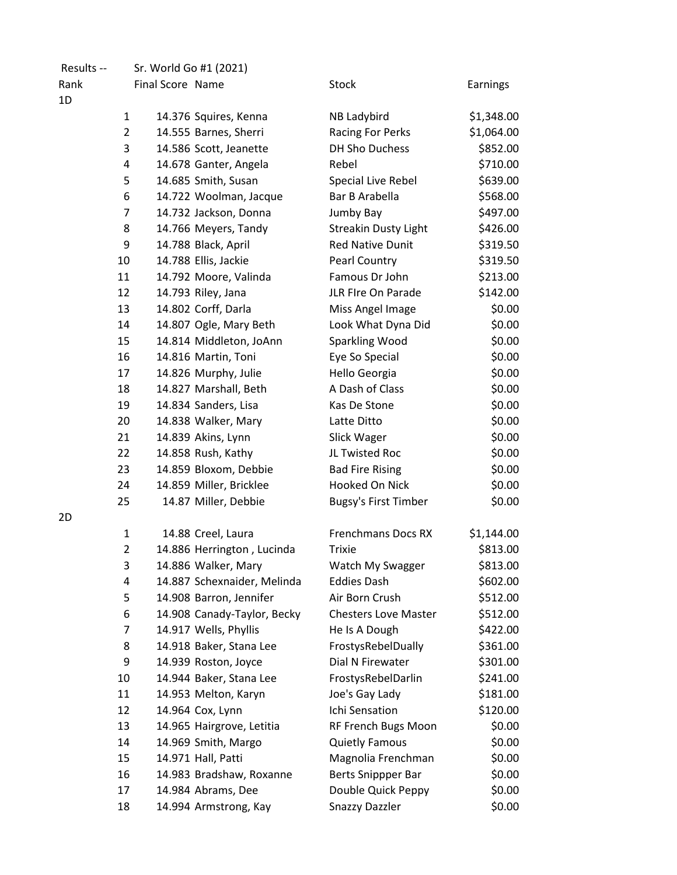| Results -- |                | Sr. World Go #1 (2021) |                             |                             |            |
|------------|----------------|------------------------|-----------------------------|-----------------------------|------------|
| Rank       |                | Final Score Name       |                             | Stock                       | Earnings   |
| 1D         |                |                        |                             |                             |            |
|            | $\mathbf{1}$   |                        | 14.376 Squires, Kenna       | NB Ladybird                 | \$1,348.00 |
|            | $\overline{2}$ |                        | 14.555 Barnes, Sherri       | Racing For Perks            | \$1,064.00 |
|            | 3              |                        | 14.586 Scott, Jeanette      | DH Sho Duchess              | \$852.00   |
|            | 4              |                        | 14.678 Ganter, Angela       | Rebel                       | \$710.00   |
|            | 5              |                        | 14.685 Smith, Susan         | Special Live Rebel          | \$639.00   |
|            | 6              |                        | 14.722 Woolman, Jacque      | Bar B Arabella              | \$568.00   |
|            | $\overline{7}$ |                        | 14.732 Jackson, Donna       | Jumby Bay                   | \$497.00   |
|            | 8              |                        | 14.766 Meyers, Tandy        | <b>Streakin Dusty Light</b> | \$426.00   |
|            | 9              |                        | 14.788 Black, April         | <b>Red Native Dunit</b>     | \$319.50   |
|            | 10             |                        | 14.788 Ellis, Jackie        | Pearl Country               | \$319.50   |
|            | 11             |                        | 14.792 Moore, Valinda       | Famous Dr John              | \$213.00   |
|            | 12             |                        | 14.793 Riley, Jana          | JLR FIre On Parade          | \$142.00   |
|            | 13             |                        | 14.802 Corff, Darla         | Miss Angel Image            | \$0.00     |
|            | 14             |                        | 14.807 Ogle, Mary Beth      | Look What Dyna Did          | \$0.00     |
|            | 15             |                        | 14.814 Middleton, JoAnn     | Sparkling Wood              | \$0.00     |
|            | 16             |                        | 14.816 Martin, Toni         | Eye So Special              | \$0.00     |
|            | 17             |                        | 14.826 Murphy, Julie        | Hello Georgia               | \$0.00     |
|            | 18             |                        | 14.827 Marshall, Beth       | A Dash of Class             | \$0.00     |
|            | 19             |                        | 14.834 Sanders, Lisa        | Kas De Stone                | \$0.00     |
|            | 20             |                        | 14.838 Walker, Mary         | Latte Ditto                 | \$0.00     |
|            | 21             |                        | 14.839 Akins, Lynn          | Slick Wager                 | \$0.00     |
|            | 22             |                        | 14.858 Rush, Kathy          | JL Twisted Roc              | \$0.00     |
|            | 23             |                        | 14.859 Bloxom, Debbie       | <b>Bad Fire Rising</b>      | \$0.00     |
|            | 24             |                        | 14.859 Miller, Bricklee     | Hooked On Nick              | \$0.00     |
|            | 25             |                        | 14.87 Miller, Debbie        | <b>Bugsy's First Timber</b> | \$0.00     |
| 2D         |                |                        |                             |                             |            |
|            | $\mathbf{1}$   |                        | 14.88 Creel, Laura          | <b>Frenchmans Docs RX</b>   | \$1,144.00 |
|            | $\overline{2}$ |                        | 14.886 Herrington, Lucinda  | <b>Trixie</b>               | \$813.00   |
|            | 3              |                        | 14.886 Walker, Mary         | Watch My Swagger            | \$813.00   |
|            | 4              |                        | 14.887 Schexnaider, Melinda | <b>Eddies Dash</b>          | \$602.00   |
|            | 5              |                        | 14.908 Barron, Jennifer     | Air Born Crush              | \$512.00   |
|            | 6              |                        | 14.908 Canady-Taylor, Becky | <b>Chesters Love Master</b> | \$512.00   |
|            | 7              |                        | 14.917 Wells, Phyllis       | He Is A Dough               | \$422.00   |
|            | 8              |                        | 14.918 Baker, Stana Lee     | FrostysRebelDually          | \$361.00   |
|            | 9              |                        | 14.939 Roston, Joyce        | Dial N Firewater            | \$301.00   |
|            | 10             |                        | 14.944 Baker, Stana Lee     | FrostysRebelDarlin          | \$241.00   |
|            | 11             |                        | 14.953 Melton, Karyn        | Joe's Gay Lady              | \$181.00   |
|            | 12             |                        | 14.964 Cox, Lynn            | Ichi Sensation              | \$120.00   |
|            | 13             |                        | 14.965 Hairgrove, Letitia   | RF French Bugs Moon         | \$0.00     |
|            | 14             |                        | 14.969 Smith, Margo         | <b>Quietly Famous</b>       | \$0.00     |
|            | 15             |                        | 14.971 Hall, Patti          | Magnolia Frenchman          | \$0.00     |
|            | 16             |                        | 14.983 Bradshaw, Roxanne    | Berts Snippper Bar          | \$0.00     |
|            | 17             |                        | 14.984 Abrams, Dee          | Double Quick Peppy          | \$0.00     |
|            | 18             |                        | 14.994 Armstrong, Kay       | <b>Snazzy Dazzler</b>       | \$0.00     |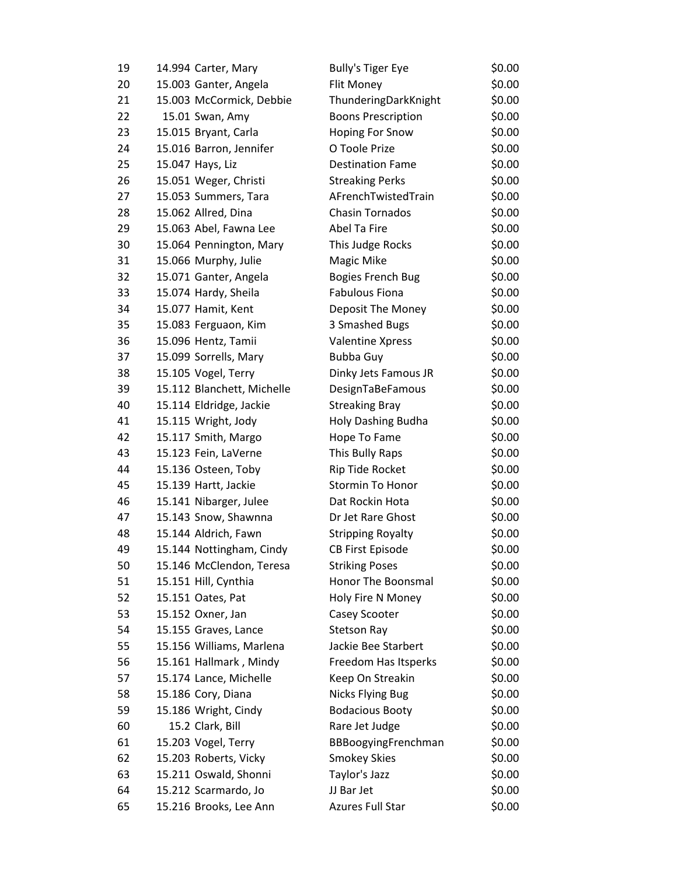| 19 | 14.994 Carter, Mary        | <b>Bully's Tiger Eye</b>  | \$0.00 |
|----|----------------------------|---------------------------|--------|
| 20 | 15.003 Ganter, Angela      | Flit Money                | \$0.00 |
| 21 | 15.003 McCormick, Debbie   | ThunderingDarkKnight      | \$0.00 |
| 22 | 15.01 Swan, Amy            | <b>Boons Prescription</b> | \$0.00 |
| 23 | 15.015 Bryant, Carla       | Hoping For Snow           | \$0.00 |
| 24 | 15.016 Barron, Jennifer    | O Toole Prize             | \$0.00 |
| 25 | 15.047 Hays, Liz           | <b>Destination Fame</b>   | \$0.00 |
| 26 | 15.051 Weger, Christi      | <b>Streaking Perks</b>    | \$0.00 |
| 27 | 15.053 Summers, Tara       | AFrenchTwistedTrain       | \$0.00 |
| 28 | 15.062 Allred, Dina        | <b>Chasin Tornados</b>    | \$0.00 |
| 29 | 15.063 Abel, Fawna Lee     | Abel Ta Fire              | \$0.00 |
| 30 | 15.064 Pennington, Mary    | This Judge Rocks          | \$0.00 |
| 31 | 15.066 Murphy, Julie       | Magic Mike                | \$0.00 |
| 32 | 15.071 Ganter, Angela      | <b>Bogies French Bug</b>  | \$0.00 |
| 33 | 15.074 Hardy, Sheila       | <b>Fabulous Fiona</b>     | \$0.00 |
| 34 | 15.077 Hamit, Kent         | Deposit The Money         | \$0.00 |
| 35 | 15.083 Ferguaon, Kim       | 3 Smashed Bugs            | \$0.00 |
| 36 | 15.096 Hentz, Tamii        | <b>Valentine Xpress</b>   | \$0.00 |
| 37 | 15.099 Sorrells, Mary      | Bubba Guy                 | \$0.00 |
| 38 | 15.105 Vogel, Terry        | Dinky Jets Famous JR      | \$0.00 |
| 39 | 15.112 Blanchett, Michelle | DesignTaBeFamous          | \$0.00 |
| 40 | 15.114 Eldridge, Jackie    | <b>Streaking Bray</b>     | \$0.00 |
| 41 | 15.115 Wright, Jody        | Holy Dashing Budha        | \$0.00 |
| 42 | 15.117 Smith, Margo        | Hope To Fame              | \$0.00 |
| 43 | 15.123 Fein, LaVerne       | This Bully Raps           | \$0.00 |
| 44 | 15.136 Osteen, Toby        | Rip Tide Rocket           | \$0.00 |
| 45 | 15.139 Hartt, Jackie       | Stormin To Honor          | \$0.00 |
| 46 | 15.141 Nibarger, Julee     | Dat Rockin Hota           | \$0.00 |
| 47 | 15.143 Snow, Shawnna       | Dr Jet Rare Ghost         | \$0.00 |
| 48 | 15.144 Aldrich, Fawn       | <b>Stripping Royalty</b>  | \$0.00 |
| 49 | 15.144 Nottingham, Cindy   | <b>CB First Episode</b>   | \$0.00 |
| 50 | 15.146 McClendon, Teresa   | <b>Striking Poses</b>     | \$0.00 |
| 51 | 15.151 Hill, Cynthia       | Honor The Boonsmal        | \$0.00 |
| 52 | 15.151 Oates, Pat          | Holy Fire N Money         | \$0.00 |
| 53 | 15.152 Oxner, Jan          | Casey Scooter             | \$0.00 |
| 54 | 15.155 Graves, Lance       | <b>Stetson Ray</b>        | \$0.00 |
| 55 | 15.156 Williams, Marlena   | Jackie Bee Starbert       | \$0.00 |
| 56 | 15.161 Hallmark, Mindy     | Freedom Has Itsperks      | \$0.00 |
| 57 | 15.174 Lance, Michelle     | Keep On Streakin          | \$0.00 |
| 58 | 15.186 Cory, Diana         | Nicks Flying Bug          | \$0.00 |
| 59 | 15.186 Wright, Cindy       | <b>Bodacious Booty</b>    | \$0.00 |
| 60 | 15.2 Clark, Bill           | Rare Jet Judge            | \$0.00 |
| 61 | 15.203 Vogel, Terry        | BBBoogyingFrenchman       | \$0.00 |
| 62 | 15.203 Roberts, Vicky      | <b>Smokey Skies</b>       | \$0.00 |
| 63 | 15.211 Oswald, Shonni      | Taylor's Jazz             | \$0.00 |
| 64 | 15.212 Scarmardo, Jo       | JJ Bar Jet                | \$0.00 |
| 65 | 15.216 Brooks, Lee Ann     | Azures Full Star          | \$0.00 |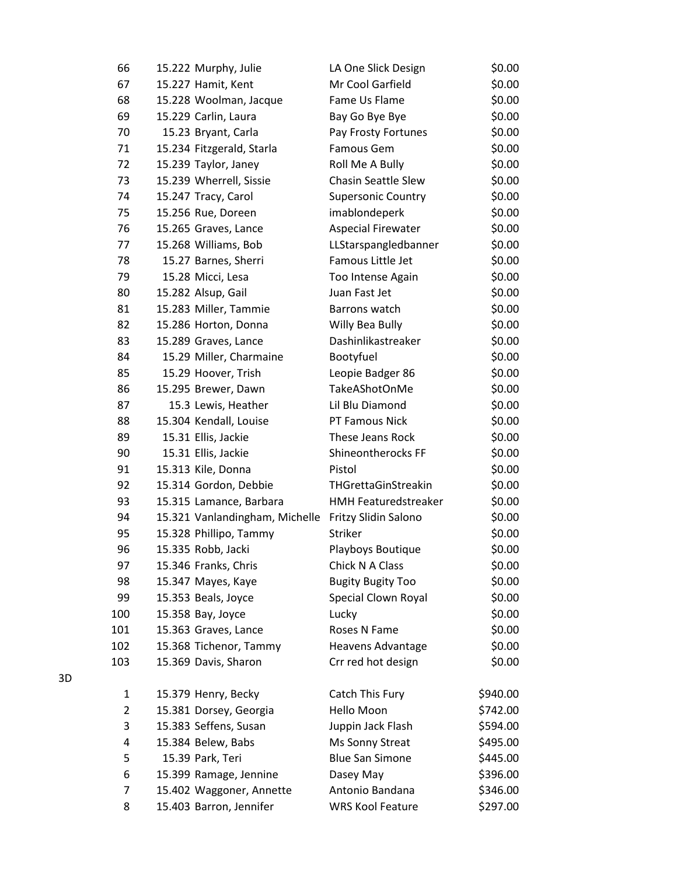| 66  | 15.222 Murphy, Julie                                | LA One Slick Design         | \$0.00   |
|-----|-----------------------------------------------------|-----------------------------|----------|
| 67  | 15.227 Hamit, Kent                                  | Mr Cool Garfield            | \$0.00   |
| 68  | 15.228 Woolman, Jacque                              | Fame Us Flame               | \$0.00   |
| 69  | 15.229 Carlin, Laura                                | Bay Go Bye Bye              | \$0.00   |
| 70  | 15.23 Bryant, Carla                                 | Pay Frosty Fortunes         | \$0.00   |
| 71  | 15.234 Fitzgerald, Starla                           | Famous Gem                  | \$0.00   |
| 72  | 15.239 Taylor, Janey                                | Roll Me A Bully             | \$0.00   |
| 73  | 15.239 Wherrell, Sissie                             | <b>Chasin Seattle Slew</b>  | \$0.00   |
| 74  | 15.247 Tracy, Carol                                 | <b>Supersonic Country</b>   | \$0.00   |
| 75  | 15.256 Rue, Doreen                                  | imablondeperk               | \$0.00   |
| 76  | 15.265 Graves, Lance                                | <b>Aspecial Firewater</b>   | \$0.00   |
| 77  | 15.268 Williams, Bob                                | LLStarspangledbanner        | \$0.00   |
| 78  | 15.27 Barnes, Sherri                                | Famous Little Jet           | \$0.00   |
| 79  | 15.28 Micci, Lesa                                   | Too Intense Again           | \$0.00   |
| 80  | 15.282 Alsup, Gail                                  | Juan Fast Jet               | \$0.00   |
| 81  | 15.283 Miller, Tammie                               | Barrons watch               | \$0.00   |
| 82  | 15.286 Horton, Donna                                | Willy Bea Bully             | \$0.00   |
| 83  | 15.289 Graves, Lance                                | Dashinlikastreaker          | \$0.00   |
| 84  | 15.29 Miller, Charmaine                             | Bootyfuel                   | \$0.00   |
| 85  | 15.29 Hoover, Trish                                 | Leopie Badger 86            | \$0.00   |
| 86  | 15.295 Brewer, Dawn                                 | TakeAShotOnMe               | \$0.00   |
| 87  | 15.3 Lewis, Heather                                 | Lil Blu Diamond             | \$0.00   |
| 88  | 15.304 Kendall, Louise                              | PT Famous Nick              | \$0.00   |
| 89  | 15.31 Ellis, Jackie                                 | These Jeans Rock            | \$0.00   |
| 90  | 15.31 Ellis, Jackie                                 | Shineontherocks FF          | \$0.00   |
| 91  | 15.313 Kile, Donna                                  | Pistol                      | \$0.00   |
| 92  | 15.314 Gordon, Debbie                               | THGrettaGinStreakin         | \$0.00   |
| 93  | 15.315 Lamance, Barbara                             | <b>HMH Featuredstreaker</b> | \$0.00   |
| 94  | 15.321 Vanlandingham, Michelle Fritzy Slidin Salono |                             | \$0.00   |
| 95  | 15.328 Phillipo, Tammy                              | Striker                     | \$0.00   |
| 96  | 15.335 Robb, Jacki                                  | Playboys Boutique           | \$0.00   |
| 97  | 15.346 Franks, Chris                                | Chick N A Class             | \$0.00   |
| 98  | 15.347 Mayes, Kaye                                  | <b>Bugity Bugity Too</b>    | \$0.00   |
| 99  | 15.353 Beals, Joyce                                 | Special Clown Royal         | \$0.00   |
| 100 | 15.358 Bay, Joyce                                   | Lucky                       | \$0.00   |
| 101 | 15.363 Graves, Lance                                | Roses N Fame                | \$0.00   |
| 102 | 15.368 Tichenor, Tammy                              | <b>Heavens Advantage</b>    | \$0.00   |
| 103 | 15.369 Davis, Sharon                                | Crr red hot design          | \$0.00   |
| 1   | 15.379 Henry, Becky                                 | Catch This Fury             | \$940.00 |
| 2   | 15.381 Dorsey, Georgia                              | Hello Moon                  | \$742.00 |
| 3   | 15.383 Seffens, Susan                               | Juppin Jack Flash           | \$594.00 |
| 4   | 15.384 Belew, Babs                                  | Ms Sonny Streat             | \$495.00 |
| 5   | 15.39 Park, Teri                                    | <b>Blue San Simone</b>      | \$445.00 |
| 6   | 15.399 Ramage, Jennine                              | Dasey May                   | \$396.00 |
| 7   | 15.402 Waggoner, Annette                            | Antonio Bandana             | \$346.00 |
| 8   | 15.403 Barron, Jennifer                             | <b>WRS Kool Feature</b>     | \$297.00 |
|     |                                                     |                             |          |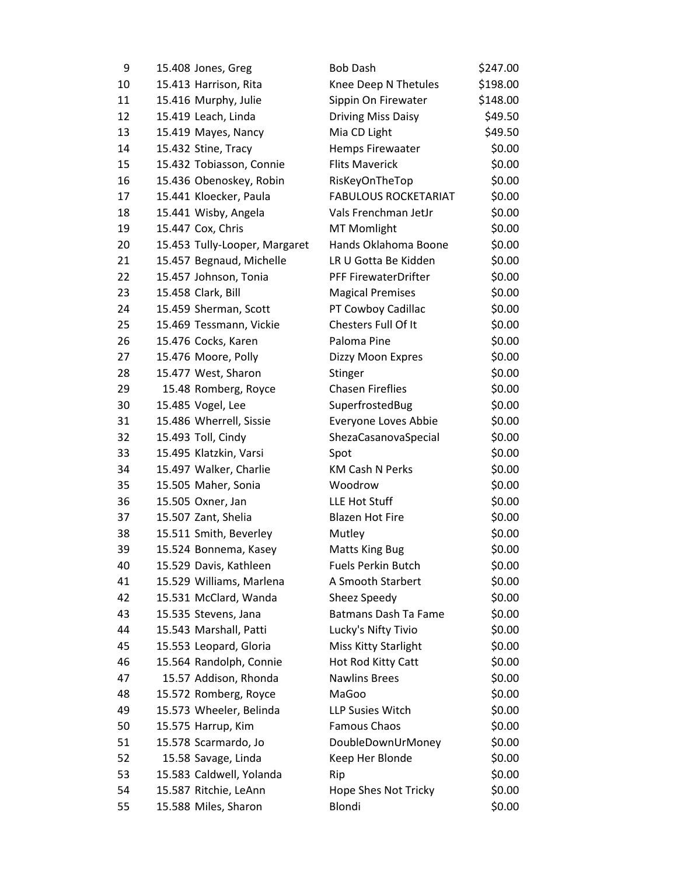| 9  | 15.408 Jones, Greg            | <b>Bob Dash</b>             | \$247.00 |
|----|-------------------------------|-----------------------------|----------|
| 10 | 15.413 Harrison, Rita         | Knee Deep N Thetules        | \$198.00 |
| 11 | 15.416 Murphy, Julie          | Sippin On Firewater         | \$148.00 |
| 12 | 15.419 Leach, Linda           | <b>Driving Miss Daisy</b>   | \$49.50  |
| 13 | 15.419 Mayes, Nancy           | Mia CD Light                | \$49.50  |
| 14 | 15.432 Stine, Tracy           | Hemps Firewaater            | \$0.00   |
| 15 | 15.432 Tobiasson, Connie      | <b>Flits Maverick</b>       | \$0.00   |
| 16 | 15.436 Obenoskey, Robin       | RisKeyOnTheTop              | \$0.00   |
| 17 | 15.441 Kloecker, Paula        | <b>FABULOUS ROCKETARIAT</b> | \$0.00   |
| 18 | 15.441 Wisby, Angela          | Vals Frenchman JetJr        | \$0.00   |
| 19 | 15.447 Cox, Chris             | <b>MT Momlight</b>          | \$0.00   |
| 20 | 15.453 Tully-Looper, Margaret | Hands Oklahoma Boone        | \$0.00   |
| 21 | 15.457 Begnaud, Michelle      | LR U Gotta Be Kidden        | \$0.00   |
| 22 | 15.457 Johnson, Tonia         | PFF FirewaterDrifter        | \$0.00   |
| 23 | 15.458 Clark, Bill            | <b>Magical Premises</b>     | \$0.00   |
| 24 | 15.459 Sherman, Scott         | PT Cowboy Cadillac          | \$0.00   |
| 25 | 15.469 Tessmann, Vickie       | Chesters Full Of It         | \$0.00   |
| 26 | 15.476 Cocks, Karen           | Paloma Pine                 | \$0.00   |
| 27 | 15.476 Moore, Polly           | Dizzy Moon Expres           | \$0.00   |
| 28 | 15.477 West, Sharon           | Stinger                     | \$0.00   |
| 29 | 15.48 Romberg, Royce          | <b>Chasen Fireflies</b>     | \$0.00   |
| 30 | 15.485 Vogel, Lee             | SuperfrostedBug             | \$0.00   |
| 31 | 15.486 Wherrell, Sissie       | Everyone Loves Abbie        | \$0.00   |
| 32 | 15.493 Toll, Cindy            | ShezaCasanovaSpecial        | \$0.00   |
| 33 | 15.495 Klatzkin, Varsi        | Spot                        | \$0.00   |
| 34 | 15.497 Walker, Charlie        | <b>KM Cash N Perks</b>      | \$0.00   |
| 35 | 15.505 Maher, Sonia           | Woodrow                     | \$0.00   |
| 36 | 15.505 Oxner, Jan             | LLE Hot Stuff               | \$0.00   |
| 37 | 15.507 Zant, Shelia           | <b>Blazen Hot Fire</b>      | \$0.00   |
| 38 | 15.511 Smith, Beverley        | Mutley                      | \$0.00   |
| 39 | 15.524 Bonnema, Kasey         | <b>Matts King Bug</b>       | \$0.00   |
| 40 | 15.529 Davis, Kathleen        | <b>Fuels Perkin Butch</b>   | \$0.00   |
| 41 | 15.529 Williams, Marlena      | A Smooth Starbert           | \$0.00   |
| 42 | 15.531 McClard, Wanda         | Sheez Speedy                | \$0.00   |
| 43 | 15.535 Stevens, Jana          | <b>Batmans Dash Ta Fame</b> | \$0.00   |
| 44 | 15.543 Marshall, Patti        | Lucky's Nifty Tivio         | \$0.00   |
| 45 | 15.553 Leopard, Gloria        | Miss Kitty Starlight        | \$0.00   |
| 46 | 15.564 Randolph, Connie       | Hot Rod Kitty Catt          | \$0.00   |
| 47 | 15.57 Addison, Rhonda         | <b>Nawlins Brees</b>        | \$0.00   |
| 48 | 15.572 Romberg, Royce         | MaGoo                       | \$0.00   |
| 49 | 15.573 Wheeler, Belinda       | LLP Susies Witch            | \$0.00   |
| 50 | 15.575 Harrup, Kim            | Famous Chaos                | \$0.00   |
| 51 | 15.578 Scarmardo, Jo          | DoubleDownUrMoney           | \$0.00   |
| 52 | 15.58 Savage, Linda           | Keep Her Blonde             | \$0.00   |
| 53 | 15.583 Caldwell, Yolanda      | Rip                         | \$0.00   |
| 54 | 15.587 Ritchie, LeAnn         | Hope Shes Not Tricky        | \$0.00   |
| 55 | 15.588 Miles, Sharon          | Blondi                      | \$0.00   |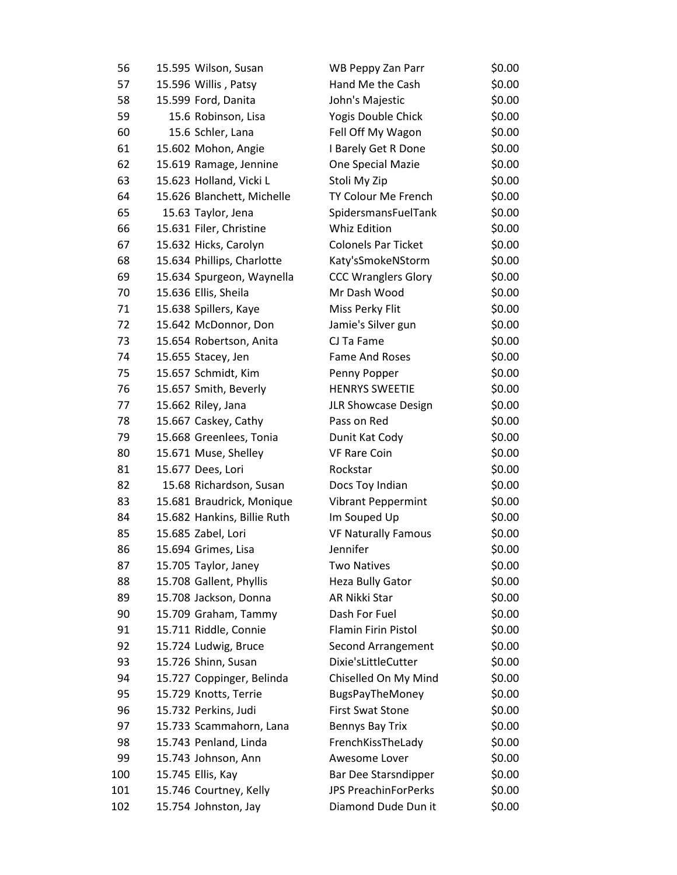| 56  | 15.595 Wilson, Susan        | WB Peppy Zan Parr           | \$0.00 |
|-----|-----------------------------|-----------------------------|--------|
| 57  | 15.596 Willis, Patsy        | Hand Me the Cash            | \$0.00 |
| 58  | 15.599 Ford, Danita         | John's Majestic             | \$0.00 |
| 59  | 15.6 Robinson, Lisa         | Yogis Double Chick          | \$0.00 |
| 60  | 15.6 Schler, Lana           | Fell Off My Wagon           | \$0.00 |
| 61  | 15.602 Mohon, Angie         | I Barely Get R Done         | \$0.00 |
| 62  | 15.619 Ramage, Jennine      | One Special Mazie           | \$0.00 |
| 63  | 15.623 Holland, Vicki L     | Stoli My Zip                | \$0.00 |
| 64  | 15.626 Blanchett, Michelle  | TY Colour Me French         | \$0.00 |
| 65  | 15.63 Taylor, Jena          | SpidersmansFuelTank         | \$0.00 |
| 66  | 15.631 Filer, Christine     | Whiz Edition                | \$0.00 |
| 67  | 15.632 Hicks, Carolyn       | <b>Colonels Par Ticket</b>  | \$0.00 |
| 68  | 15.634 Phillips, Charlotte  | Katy'sSmokeNStorm           | \$0.00 |
| 69  | 15.634 Spurgeon, Waynella   | <b>CCC Wranglers Glory</b>  | \$0.00 |
| 70  | 15.636 Ellis, Sheila        | Mr Dash Wood                | \$0.00 |
| 71  | 15.638 Spillers, Kaye       | Miss Perky Flit             | \$0.00 |
| 72  | 15.642 McDonnor, Don        | Jamie's Silver gun          | \$0.00 |
| 73  | 15.654 Robertson, Anita     | CJ Ta Fame                  | \$0.00 |
| 74  | 15.655 Stacey, Jen          | Fame And Roses              | \$0.00 |
| 75  | 15.657 Schmidt, Kim         | Penny Popper                | \$0.00 |
| 76  | 15.657 Smith, Beverly       | <b>HENRYS SWEETIE</b>       | \$0.00 |
| 77  | 15.662 Riley, Jana          | JLR Showcase Design         | \$0.00 |
| 78  | 15.667 Caskey, Cathy        | Pass on Red                 | \$0.00 |
| 79  | 15.668 Greenlees, Tonia     | Dunit Kat Cody              | \$0.00 |
| 80  | 15.671 Muse, Shelley        | <b>VF Rare Coin</b>         | \$0.00 |
| 81  | 15.677 Dees, Lori           | Rockstar                    | \$0.00 |
| 82  | 15.68 Richardson, Susan     | Docs Toy Indian             | \$0.00 |
| 83  | 15.681 Braudrick, Monique   | <b>Vibrant Peppermint</b>   | \$0.00 |
| 84  | 15.682 Hankins, Billie Ruth | Im Souped Up                | \$0.00 |
| 85  | 15.685 Zabel, Lori          | <b>VF Naturally Famous</b>  | \$0.00 |
| 86  | 15.694 Grimes, Lisa         | Jennifer                    | \$0.00 |
| 87  | 15.705 Taylor, Janey        | <b>Two Natives</b>          | \$0.00 |
| 88  | 15.708 Gallent, Phyllis     | Heza Bully Gator            | \$0.00 |
| 89  | 15.708 Jackson, Donna       | AR Nikki Star               | \$0.00 |
| 90  | 15.709 Graham, Tammy        | Dash For Fuel               | \$0.00 |
| 91  | 15.711 Riddle, Connie       | Flamin Firin Pistol         | \$0.00 |
| 92  | 15.724 Ludwig, Bruce        | Second Arrangement          | \$0.00 |
| 93  | 15.726 Shinn, Susan         | Dixie'sLittleCutter         | \$0.00 |
| 94  | 15.727 Coppinger, Belinda   | Chiselled On My Mind        | \$0.00 |
| 95  | 15.729 Knotts, Terrie       | BugsPayTheMoney             | \$0.00 |
| 96  | 15.732 Perkins, Judi        | <b>First Swat Stone</b>     | \$0.00 |
| 97  | 15.733 Scammahorn, Lana     | Bennys Bay Trix             | \$0.00 |
| 98  | 15.743 Penland, Linda       | FrenchKissTheLady           | \$0.00 |
| 99  | 15.743 Johnson, Ann         | Awesome Lover               | \$0.00 |
| 100 | 15.745 Ellis, Kay           | Bar Dee Starsndipper        | \$0.00 |
| 101 | 15.746 Courtney, Kelly      | <b>JPS PreachinForPerks</b> | \$0.00 |
| 102 | 15.754 Johnston, Jay        | Diamond Dude Dun it         | \$0.00 |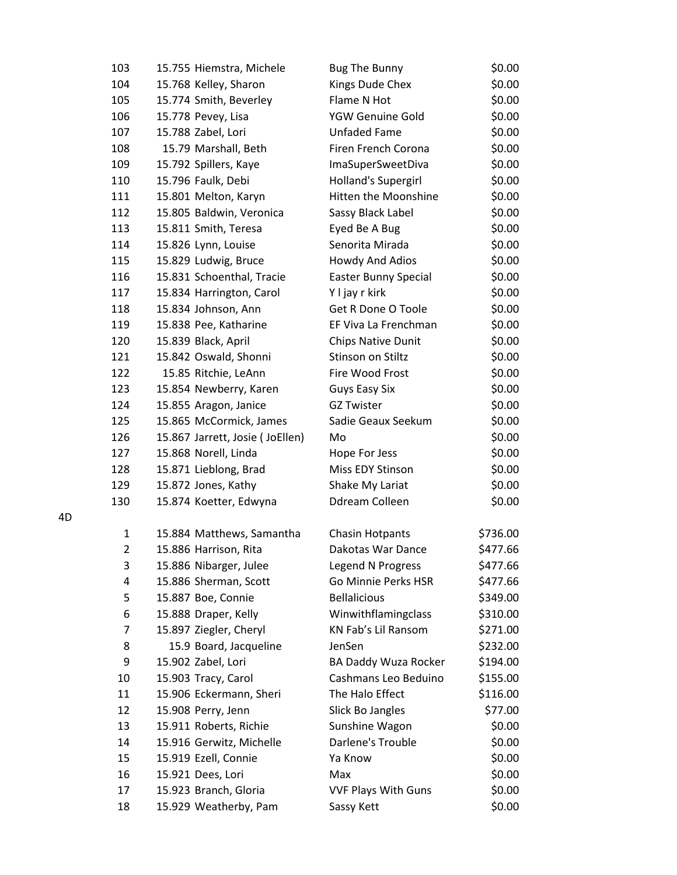| 103            | 15.755 Hiemstra, Michele        | <b>Bug The Bunny</b>        | \$0.00   |
|----------------|---------------------------------|-----------------------------|----------|
| 104            | 15.768 Kelley, Sharon           | Kings Dude Chex             | \$0.00   |
| 105            | 15.774 Smith, Beverley          | Flame N Hot                 | \$0.00   |
| 106            | 15.778 Pevey, Lisa              | YGW Genuine Gold            | \$0.00   |
| 107            | 15.788 Zabel, Lori              | <b>Unfaded Fame</b>         | \$0.00   |
| 108            | 15.79 Marshall, Beth            | Firen French Corona         | \$0.00   |
| 109            | 15.792 Spillers, Kaye           | <b>ImaSuperSweetDiva</b>    | \$0.00   |
| 110            | 15.796 Faulk, Debi              | Holland's Supergirl         | \$0.00   |
| 111            | 15.801 Melton, Karyn            | Hitten the Moonshine        | \$0.00   |
| 112            | 15.805 Baldwin, Veronica        | Sassy Black Label           | \$0.00   |
| 113            | 15.811 Smith, Teresa            | Eyed Be A Bug               | \$0.00   |
| 114            | 15.826 Lynn, Louise             | Senorita Mirada             | \$0.00   |
| 115            | 15.829 Ludwig, Bruce            | Howdy And Adios             | \$0.00   |
| 116            | 15.831 Schoenthal, Tracie       | <b>Easter Bunny Special</b> | \$0.00   |
| 117            | 15.834 Harrington, Carol        | Y I jay r kirk              | \$0.00   |
| 118            | 15.834 Johnson, Ann             | Get R Done O Toole          | \$0.00   |
| 119            | 15.838 Pee, Katharine           | EF Viva La Frenchman        | \$0.00   |
| 120            | 15.839 Black, April             | Chips Native Dunit          | \$0.00   |
| 121            | 15.842 Oswald, Shonni           | Stinson on Stiltz           | \$0.00   |
| 122            | 15.85 Ritchie, LeAnn            | Fire Wood Frost             | \$0.00   |
| 123            | 15.854 Newberry, Karen          | <b>Guys Easy Six</b>        | \$0.00   |
| 124            | 15.855 Aragon, Janice           | <b>GZ Twister</b>           | \$0.00   |
| 125            | 15.865 McCormick, James         | Sadie Geaux Seekum          | \$0.00   |
| 126            | 15.867 Jarrett, Josie (JoEllen) | Mo                          | \$0.00   |
| 127            | 15.868 Norell, Linda            | Hope For Jess               | \$0.00   |
| 128            | 15.871 Lieblong, Brad           | Miss EDY Stinson            | \$0.00   |
| 129            | 15.872 Jones, Kathy             | Shake My Lariat             | \$0.00   |
| 130            | 15.874 Koetter, Edwyna          | Ddream Colleen              | \$0.00   |
| 1              | 15.884 Matthews, Samantha       | <b>Chasin Hotpants</b>      | \$736.00 |
| $\overline{2}$ | 15.886 Harrison, Rita           | Dakotas War Dance           | \$477.66 |
| 3              | 15.886 Nibarger, Julee          | Legend N Progress           | \$477.66 |
| 4              | 15.886 Sherman, Scott           | Go Minnie Perks HSR         | \$477.66 |
| 5              | 15.887 Boe, Connie              | <b>Bellalicious</b>         | \$349.00 |
| 6              | 15.888 Draper, Kelly            | Winwithflamingclass         | \$310.00 |
| 7              | 15.897 Ziegler, Cheryl          | KN Fab's Lil Ransom         | \$271.00 |
| 8              | 15.9 Board, Jacqueline          | JenSen                      | \$232.00 |
| 9              | 15.902 Zabel, Lori              | <b>BA Daddy Wuza Rocker</b> | \$194.00 |
| 10             | 15.903 Tracy, Carol             | Cashmans Leo Beduino        | \$155.00 |
| 11             | 15.906 Eckermann, Sheri         | The Halo Effect             | \$116.00 |
| 12             | 15.908 Perry, Jenn              | Slick Bo Jangles            | \$77.00  |
| 13             | 15.911 Roberts, Richie          | Sunshine Wagon              | \$0.00   |
| 14             | 15.916 Gerwitz, Michelle        | Darlene's Trouble           | \$0.00   |
| 15             | 15.919 Ezell, Connie            | Ya Know                     | \$0.00   |
| 16             | 15.921 Dees, Lori               | Max                         | \$0.00   |
| 17             | 15.923 Branch, Gloria           | <b>VVF Plays With Guns</b>  | \$0.00   |
| 18             | 15.929 Weatherby, Pam           | Sassy Kett                  | \$0.00   |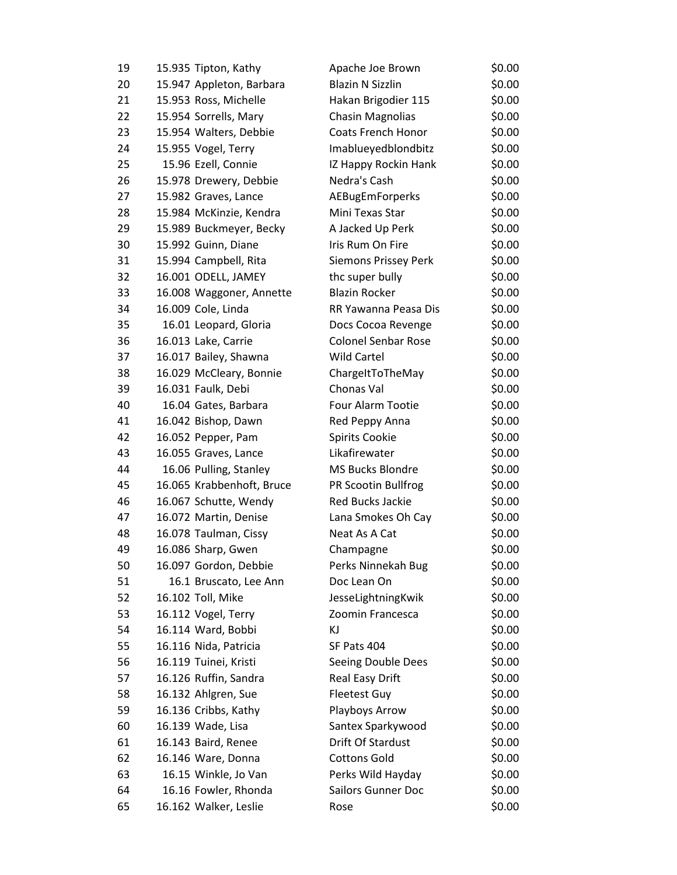| 19 | 15.935 Tipton, Kathy      | Apache Joe Brown            | \$0.00 |
|----|---------------------------|-----------------------------|--------|
| 20 | 15.947 Appleton, Barbara  | <b>Blazin N Sizzlin</b>     | \$0.00 |
| 21 | 15.953 Ross, Michelle     | Hakan Brigodier 115         | \$0.00 |
| 22 | 15.954 Sorrells, Mary     | <b>Chasin Magnolias</b>     | \$0.00 |
| 23 | 15.954 Walters, Debbie    | <b>Coats French Honor</b>   | \$0.00 |
| 24 | 15.955 Vogel, Terry       | Imablueyedblondbitz         | \$0.00 |
| 25 | 15.96 Ezell, Connie       | IZ Happy Rockin Hank        | \$0.00 |
| 26 | 15.978 Drewery, Debbie    | Nedra's Cash                | \$0.00 |
| 27 | 15.982 Graves, Lance      | <b>AEBugEmForperks</b>      | \$0.00 |
| 28 | 15.984 McKinzie, Kendra   | Mini Texas Star             | \$0.00 |
| 29 | 15.989 Buckmeyer, Becky   | A Jacked Up Perk            | \$0.00 |
| 30 | 15.992 Guinn, Diane       | Iris Rum On Fire            | \$0.00 |
| 31 | 15.994 Campbell, Rita     | <b>Siemons Prissey Perk</b> | \$0.00 |
| 32 | 16.001 ODELL, JAMEY       | thc super bully             | \$0.00 |
| 33 | 16.008 Waggoner, Annette  | <b>Blazin Rocker</b>        | \$0.00 |
| 34 | 16.009 Cole, Linda        | RR Yawanna Peasa Dis        | \$0.00 |
| 35 | 16.01 Leopard, Gloria     | Docs Cocoa Revenge          | \$0.00 |
| 36 | 16.013 Lake, Carrie       | <b>Colonel Senbar Rose</b>  | \$0.00 |
| 37 | 16.017 Bailey, Shawna     | <b>Wild Cartel</b>          | \$0.00 |
| 38 | 16.029 McCleary, Bonnie   | ChargeItToTheMay            | \$0.00 |
| 39 | 16.031 Faulk, Debi        | Chonas Val                  | \$0.00 |
| 40 | 16.04 Gates, Barbara      | Four Alarm Tootie           | \$0.00 |
| 41 | 16.042 Bishop, Dawn       | Red Peppy Anna              | \$0.00 |
| 42 | 16.052 Pepper, Pam        | <b>Spirits Cookie</b>       | \$0.00 |
| 43 | 16.055 Graves, Lance      | Likafirewater               | \$0.00 |
| 44 | 16.06 Pulling, Stanley    | <b>MS Bucks Blondre</b>     | \$0.00 |
| 45 | 16.065 Krabbenhoft, Bruce | PR Scootin Bullfrog         | \$0.00 |
| 46 | 16.067 Schutte, Wendy     | <b>Red Bucks Jackie</b>     | \$0.00 |
| 47 | 16.072 Martin, Denise     | Lana Smokes Oh Cay          | \$0.00 |
| 48 | 16.078 Taulman, Cissy     | Neat As A Cat               | \$0.00 |
| 49 | 16.086 Sharp, Gwen        | Champagne                   | \$0.00 |
| 50 | 16.097 Gordon, Debbie     | Perks Ninnekah Bug          | \$0.00 |
| 51 | 16.1 Bruscato, Lee Ann    | Doc Lean On                 | \$0.00 |
| 52 | 16.102 Toll, Mike         | JesseLightningKwik          | \$0.00 |
| 53 | 16.112 Vogel, Terry       | Zoomin Francesca            | \$0.00 |
| 54 | 16.114 Ward, Bobbi        | ΚJ                          | \$0.00 |
| 55 | 16.116 Nida, Patricia     | SF Pats 404                 | \$0.00 |
| 56 | 16.119 Tuinei, Kristi     | Seeing Double Dees          | \$0.00 |
| 57 | 16.126 Ruffin, Sandra     | Real Easy Drift             | \$0.00 |
| 58 | 16.132 Ahlgren, Sue       | <b>Fleetest Guy</b>         | \$0.00 |
| 59 | 16.136 Cribbs, Kathy      | Playboys Arrow              | \$0.00 |
| 60 | 16.139 Wade, Lisa         | Santex Sparkywood           | \$0.00 |
| 61 | 16.143 Baird, Renee       | Drift Of Stardust           | \$0.00 |
| 62 | 16.146 Ware, Donna        | <b>Cottons Gold</b>         | \$0.00 |
| 63 | 16.15 Winkle, Jo Van      | Perks Wild Hayday           | \$0.00 |
| 64 | 16.16 Fowler, Rhonda      | <b>Sailors Gunner Doc</b>   | \$0.00 |
| 65 | 16.162 Walker, Leslie     | Rose                        | \$0.00 |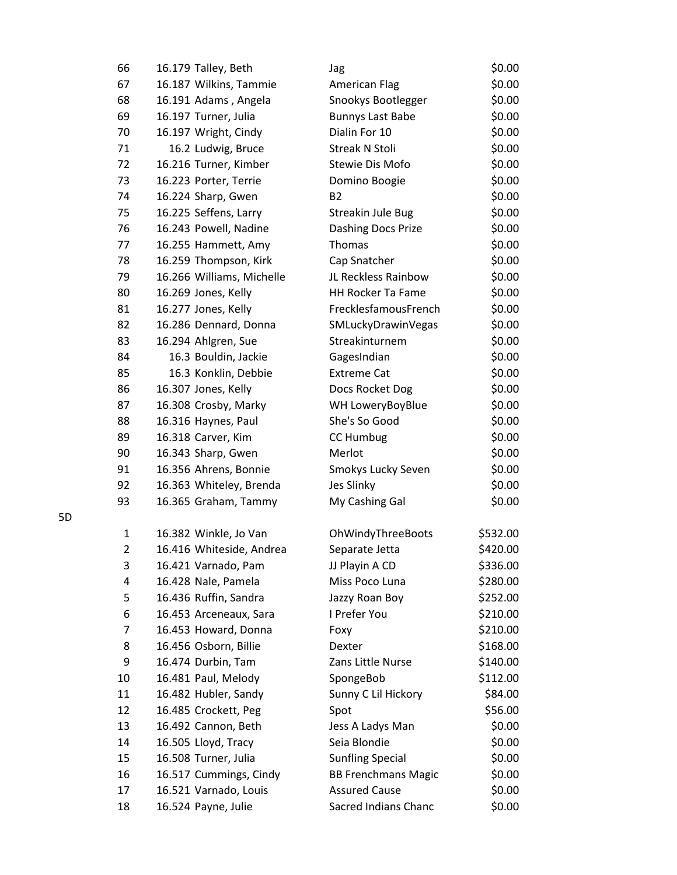| 66             | 16.179 Talley, Beth       | Jag                        | \$0.00   |
|----------------|---------------------------|----------------------------|----------|
| 67             | 16.187 Wilkins, Tammie    | <b>American Flag</b>       | \$0.00   |
| 68             | 16.191 Adams, Angela      | Snookys Bootlegger         | \$0.00   |
| 69             | 16.197 Turner, Julia      | <b>Bunnys Last Babe</b>    | \$0.00   |
| 70             | 16.197 Wright, Cindy      | Dialin For 10              | \$0.00   |
| 71             | 16.2 Ludwig, Bruce        | <b>Streak N Stoli</b>      | \$0.00   |
| 72             | 16.216 Turner, Kimber     | <b>Stewie Dis Mofo</b>     | \$0.00   |
| 73             | 16.223 Porter, Terrie     | Domino Boogie              | \$0.00   |
| 74             | 16.224 Sharp, Gwen        | <b>B2</b>                  | \$0.00   |
| 75             | 16.225 Seffens, Larry     | Streakin Jule Bug          | \$0.00   |
| 76             | 16.243 Powell, Nadine     | Dashing Docs Prize         | \$0.00   |
| 77             | 16.255 Hammett, Amy       | Thomas                     | \$0.00   |
| 78             | 16.259 Thompson, Kirk     | Cap Snatcher               | \$0.00   |
| 79             | 16.266 Williams, Michelle | JL Reckless Rainbow        | \$0.00   |
| 80             | 16.269 Jones, Kelly       | <b>HH Rocker Ta Fame</b>   | \$0.00   |
| 81             | 16.277 Jones, Kelly       | FrecklesfamousFrench       | \$0.00   |
| 82             | 16.286 Dennard, Donna     | SMLuckyDrawinVegas         | \$0.00   |
| 83             | 16.294 Ahlgren, Sue       | Streakinturnem             | \$0.00   |
| 84             | 16.3 Bouldin, Jackie      | GagesIndian                | \$0.00   |
| 85             | 16.3 Konklin, Debbie      | <b>Extreme Cat</b>         | \$0.00   |
| 86             | 16.307 Jones, Kelly       | Docs Rocket Dog            | \$0.00   |
| 87             | 16.308 Crosby, Marky      | WH LoweryBoyBlue           | \$0.00   |
| 88             | 16.316 Haynes, Paul       | She's So Good              | \$0.00   |
| 89             | 16.318 Carver, Kim        | <b>CC Humbug</b>           | \$0.00   |
| 90             | 16.343 Sharp, Gwen        | Merlot                     | \$0.00   |
| 91             | 16.356 Ahrens, Bonnie     | Smokys Lucky Seven         | \$0.00   |
| 92             | 16.363 Whiteley, Brenda   | Jes Slinky                 | \$0.00   |
| 93             | 16.365 Graham, Tammy      | My Cashing Gal             | \$0.00   |
| 1              | 16.382 Winkle, Jo Van     | OhWindyThreeBoots          | \$532.00 |
| $\overline{2}$ | 16.416 Whiteside, Andrea  | Separate Jetta             | \$420.00 |
| 3              | 16.421 Varnado, Pam       | JJ Playin A CD             | \$336.00 |
| 4              | 16.428 Nale, Pamela       | Miss Poco Luna             | \$280.00 |
| 5              | 16.436 Ruffin, Sandra     | Jazzy Roan Boy             | \$252.00 |
| 6              | 16.453 Arceneaux, Sara    | I Prefer You               | \$210.00 |
| 7              | 16.453 Howard, Donna      | Foxy                       | \$210.00 |
| 8              | 16.456 Osborn, Billie     | Dexter                     | \$168.00 |
| 9              | 16.474 Durbin, Tam        | Zans Little Nurse          | \$140.00 |
| 10             | 16.481 Paul, Melody       | SpongeBob                  | \$112.00 |
| 11             | 16.482 Hubler, Sandy      | Sunny C Lil Hickory        | \$84.00  |
| 12             | 16.485 Crockett, Peg      | Spot                       | \$56.00  |
| 13             | 16.492 Cannon, Beth       | Jess A Ladys Man           | \$0.00   |
| 14             | 16.505 Lloyd, Tracy       | Seia Blondie               | \$0.00   |
| 15             | 16.508 Turner, Julia      | <b>Sunfling Special</b>    | \$0.00   |
| 16             | 16.517 Cummings, Cindy    | <b>BB Frenchmans Magic</b> | \$0.00   |
| 17             | 16.521 Varnado, Louis     | <b>Assured Cause</b>       | \$0.00   |
| 18             | 16.524 Payne, Julie       | Sacred Indians Chanc       | \$0.00   |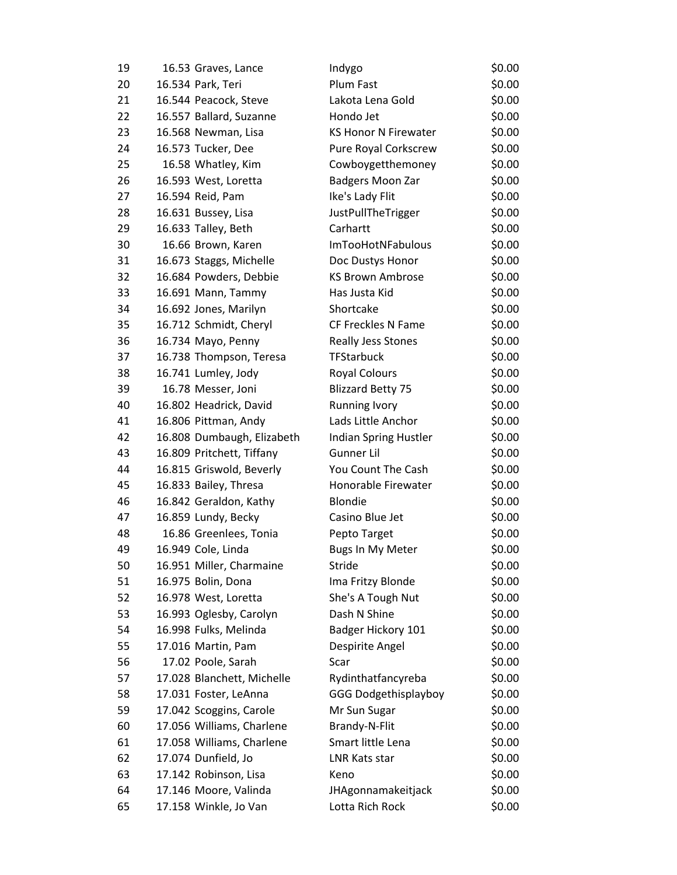| 19 | 16.53 Graves, Lance        | Indygo                      | \$0.00 |
|----|----------------------------|-----------------------------|--------|
| 20 | 16.534 Park, Teri          | Plum Fast                   | \$0.00 |
| 21 | 16.544 Peacock, Steve      | Lakota Lena Gold            | \$0.00 |
| 22 | 16.557 Ballard, Suzanne    | Hondo Jet                   | \$0.00 |
| 23 | 16.568 Newman, Lisa        | <b>KS Honor N Firewater</b> | \$0.00 |
| 24 | 16.573 Tucker, Dee         | Pure Royal Corkscrew        | \$0.00 |
| 25 | 16.58 Whatley, Kim         | Cowboygetthemoney           | \$0.00 |
| 26 | 16.593 West, Loretta       | Badgers Moon Zar            | \$0.00 |
| 27 | 16.594 Reid, Pam           | Ike's Lady Flit             | \$0.00 |
| 28 | 16.631 Bussey, Lisa        | JustPullTheTrigger          | \$0.00 |
| 29 | 16.633 Talley, Beth        | Carhartt                    | \$0.00 |
| 30 | 16.66 Brown, Karen         | <b>ImTooHotNFabulous</b>    | \$0.00 |
| 31 | 16.673 Staggs, Michelle    | Doc Dustys Honor            | \$0.00 |
| 32 | 16.684 Powders, Debbie     | <b>KS Brown Ambrose</b>     | \$0.00 |
| 33 | 16.691 Mann, Tammy         | Has Justa Kid               | \$0.00 |
| 34 | 16.692 Jones, Marilyn      | Shortcake                   | \$0.00 |
| 35 | 16.712 Schmidt, Cheryl     | CF Freckles N Fame          | \$0.00 |
| 36 | 16.734 Mayo, Penny         | Really Jess Stones          | \$0.00 |
| 37 | 16.738 Thompson, Teresa    | <b>TFStarbuck</b>           | \$0.00 |
| 38 | 16.741 Lumley, Jody        | <b>Royal Colours</b>        | \$0.00 |
| 39 | 16.78 Messer, Joni         | <b>Blizzard Betty 75</b>    | \$0.00 |
| 40 | 16.802 Headrick, David     | <b>Running Ivory</b>        | \$0.00 |
| 41 | 16.806 Pittman, Andy       | Lads Little Anchor          | \$0.00 |
| 42 | 16.808 Dumbaugh, Elizabeth | Indian Spring Hustler       | \$0.00 |
| 43 | 16.809 Pritchett, Tiffany  | Gunner Lil                  | \$0.00 |
| 44 | 16.815 Griswold, Beverly   | You Count The Cash          | \$0.00 |
| 45 | 16.833 Bailey, Thresa      | Honorable Firewater         | \$0.00 |
| 46 | 16.842 Geraldon, Kathy     | <b>Blondie</b>              | \$0.00 |
| 47 | 16.859 Lundy, Becky        | Casino Blue Jet             | \$0.00 |
| 48 | 16.86 Greenlees, Tonia     | Pepto Target                | \$0.00 |
| 49 | 16.949 Cole, Linda         | <b>Bugs In My Meter</b>     | \$0.00 |
| 50 | 16.951 Miller, Charmaine   | Stride                      | \$0.00 |
| 51 | 16.975 Bolin, Dona         | Ima Fritzy Blonde           | \$0.00 |
| 52 | 16.978 West, Loretta       | She's A Tough Nut           | \$0.00 |
| 53 | 16.993 Oglesby, Carolyn    | Dash N Shine                | \$0.00 |
| 54 | 16.998 Fulks, Melinda      | Badger Hickory 101          | \$0.00 |
| 55 | 17.016 Martin, Pam         | Despirite Angel             | \$0.00 |
| 56 | 17.02 Poole, Sarah         | Scar                        | \$0.00 |
| 57 | 17.028 Blanchett, Michelle | Rydinthatfancyreba          | \$0.00 |
| 58 | 17.031 Foster, LeAnna      | <b>GGG Dodgethisplayboy</b> | \$0.00 |
| 59 | 17.042 Scoggins, Carole    | Mr Sun Sugar                | \$0.00 |
| 60 | 17.056 Williams, Charlene  | Brandy-N-Flit               | \$0.00 |
| 61 | 17.058 Williams, Charlene  | Smart little Lena           | \$0.00 |
| 62 | 17.074 Dunfield, Jo        | <b>LNR Kats star</b>        | \$0.00 |
| 63 | 17.142 Robinson, Lisa      | Keno                        | \$0.00 |
| 64 | 17.146 Moore, Valinda      | JHAgonnamakeitjack          | \$0.00 |
| 65 | 17.158 Winkle, Jo Van      | Lotta Rich Rock             | \$0.00 |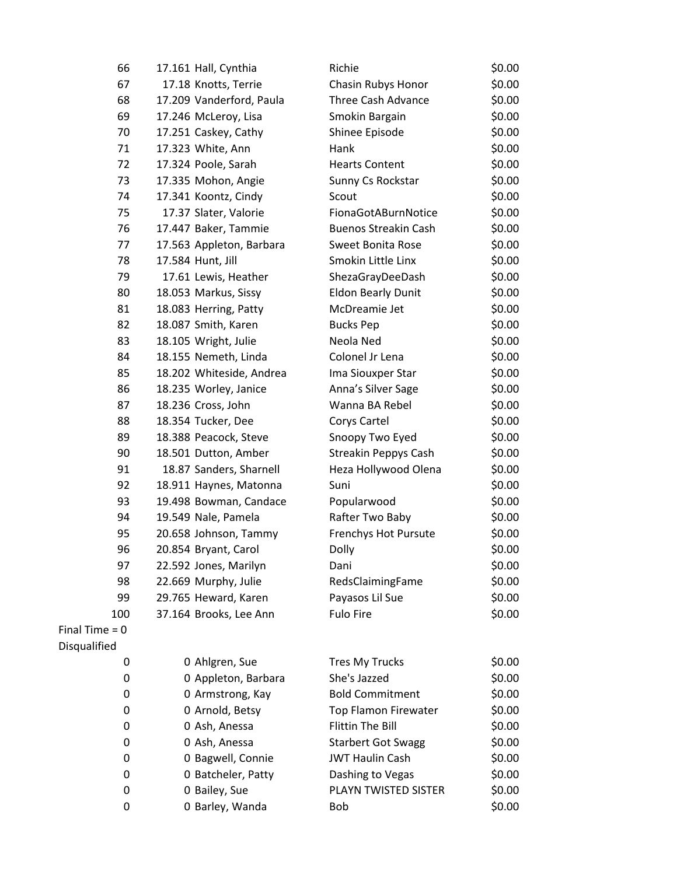| 66               | 17.161 Hall, Cynthia     | Richie                      | \$0.00 |
|------------------|--------------------------|-----------------------------|--------|
| 67               | 17.18 Knotts, Terrie     | Chasin Rubys Honor          | \$0.00 |
| 68               | 17.209 Vanderford, Paula | Three Cash Advance          | \$0.00 |
| 69               | 17.246 McLeroy, Lisa     | Smokin Bargain              | \$0.00 |
| 70               | 17.251 Caskey, Cathy     | Shinee Episode              | \$0.00 |
| 71               | 17.323 White, Ann        | Hank                        | \$0.00 |
| 72               | 17.324 Poole, Sarah      | <b>Hearts Content</b>       | \$0.00 |
| 73               | 17.335 Mohon, Angie      | Sunny Cs Rockstar           | \$0.00 |
| 74               | 17.341 Koontz, Cindy     | Scout                       | \$0.00 |
| 75               | 17.37 Slater, Valorie    | FionaGotABurnNotice         | \$0.00 |
| 76               | 17.447 Baker, Tammie     | <b>Buenos Streakin Cash</b> | \$0.00 |
| 77               | 17.563 Appleton, Barbara | <b>Sweet Bonita Rose</b>    | \$0.00 |
| 78               | 17.584 Hunt, Jill        | Smokin Little Linx          | \$0.00 |
| 79               | 17.61 Lewis, Heather     | ShezaGrayDeeDash            | \$0.00 |
| 80               | 18.053 Markus, Sissy     | <b>Eldon Bearly Dunit</b>   | \$0.00 |
| 81               | 18.083 Herring, Patty    | McDreamie Jet               | \$0.00 |
| 82               | 18.087 Smith, Karen      | <b>Bucks Pep</b>            | \$0.00 |
| 83               | 18.105 Wright, Julie     | Neola Ned                   | \$0.00 |
| 84               | 18.155 Nemeth, Linda     | Colonel Jr Lena             | \$0.00 |
| 85               | 18.202 Whiteside, Andrea | Ima Siouxper Star           | \$0.00 |
| 86               | 18.235 Worley, Janice    | Anna's Silver Sage          | \$0.00 |
| 87               | 18.236 Cross, John       | Wanna BA Rebel              | \$0.00 |
| 88               | 18.354 Tucker, Dee       | Corys Cartel                | \$0.00 |
| 89               | 18.388 Peacock, Steve    | Snoopy Two Eyed             | \$0.00 |
| 90               | 18.501 Dutton, Amber     | <b>Streakin Peppys Cash</b> | \$0.00 |
| 91               | 18.87 Sanders, Sharnell  | Heza Hollywood Olena        | \$0.00 |
| 92               | 18.911 Haynes, Matonna   | Suni                        | \$0.00 |
| 93               | 19.498 Bowman, Candace   | Popularwood                 | \$0.00 |
| 94               | 19.549 Nale, Pamela      | Rafter Two Baby             | \$0.00 |
| 95               | 20.658 Johnson, Tammy    | Frenchys Hot Pursute        | \$0.00 |
| 96               | 20.854 Bryant, Carol     | Dolly                       | \$0.00 |
| 97               | 22.592 Jones, Marilyn    | Dani                        | \$0.00 |
| 98               | 22.669 Murphy, Julie     | RedsClaimingFame            | \$0.00 |
| 99               | 29.765 Heward, Karen     | Payasos Lil Sue             | \$0.00 |
| 100              | 37.164 Brooks, Lee Ann   | <b>Fulo Fire</b>            | \$0.00 |
| Final Time = $0$ |                          |                             |        |
| Disqualified     |                          |                             |        |
| 0                | 0 Ahlgren, Sue           | <b>Tres My Trucks</b>       | \$0.00 |
| 0                | 0 Appleton, Barbara      | She's Jazzed                | \$0.00 |
| 0                | 0 Armstrong, Kay         | <b>Bold Commitment</b>      | \$0.00 |
| 0                | 0 Arnold, Betsy          | Top Flamon Firewater        | \$0.00 |
| 0                | 0 Ash, Anessa            | <b>Flittin The Bill</b>     | \$0.00 |
| 0                | 0 Ash, Anessa            | <b>Starbert Got Swagg</b>   | \$0.00 |
| 0                | 0 Bagwell, Connie        | <b>JWT Haulin Cash</b>      | \$0.00 |
| 0                | 0 Batcheler, Patty       | Dashing to Vegas            | \$0.00 |
| 0                | 0 Bailey, Sue            | PLAYN TWISTED SISTER        | \$0.00 |
| 0                | 0 Barley, Wanda          | Bob                         | \$0.00 |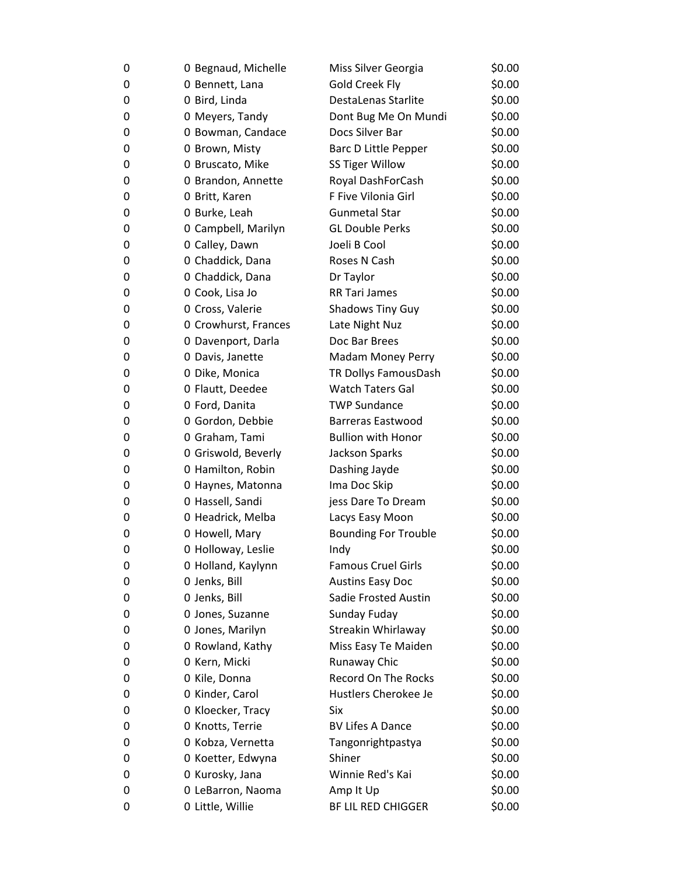| 0 | 0 Begnaud, Michelle  | Miss Silver Georgia         | \$0.00 |
|---|----------------------|-----------------------------|--------|
| 0 | 0 Bennett, Lana      | <b>Gold Creek Fly</b>       | \$0.00 |
| 0 | 0 Bird, Linda        | DestaLenas Starlite         | \$0.00 |
| 0 | 0 Meyers, Tandy      | Dont Bug Me On Mundi        | \$0.00 |
| 0 | 0 Bowman, Candace    | Docs Silver Bar             | \$0.00 |
| 0 | 0 Brown, Misty       | Barc D Little Pepper        | \$0.00 |
| 0 | 0 Bruscato, Mike     | <b>SS Tiger Willow</b>      | \$0.00 |
| 0 | 0 Brandon, Annette   | Royal DashForCash           | \$0.00 |
| 0 | 0 Britt, Karen       | F Five Vilonia Girl         | \$0.00 |
| 0 | 0 Burke, Leah        | <b>Gunmetal Star</b>        | \$0.00 |
| 0 | 0 Campbell, Marilyn  | <b>GL Double Perks</b>      | \$0.00 |
| 0 | 0 Calley, Dawn       | Joeli B Cool                | \$0.00 |
| 0 | 0 Chaddick, Dana     | Roses N Cash                | \$0.00 |
| 0 | 0 Chaddick, Dana     | Dr Taylor                   | \$0.00 |
| 0 | 0 Cook, Lisa Jo      | <b>RR Tari James</b>        | \$0.00 |
| 0 | 0 Cross, Valerie     | <b>Shadows Tiny Guy</b>     | \$0.00 |
| 0 | 0 Crowhurst, Frances | Late Night Nuz              | \$0.00 |
| 0 | 0 Davenport, Darla   | Doc Bar Brees               | \$0.00 |
| 0 | 0 Davis, Janette     | <b>Madam Money Perry</b>    | \$0.00 |
| 0 | 0 Dike, Monica       | TR Dollys FamousDash        | \$0.00 |
| 0 | 0 Flautt, Deedee     | <b>Watch Taters Gal</b>     | \$0.00 |
| 0 | 0 Ford, Danita       | <b>TWP Sundance</b>         | \$0.00 |
| 0 | 0 Gordon, Debbie     | <b>Barreras Eastwood</b>    | \$0.00 |
| 0 | 0 Graham, Tami       | <b>Bullion with Honor</b>   | \$0.00 |
| 0 | 0 Griswold, Beverly  | Jackson Sparks              | \$0.00 |
| 0 | 0 Hamilton, Robin    | Dashing Jayde               | \$0.00 |
| 0 | 0 Haynes, Matonna    | Ima Doc Skip                | \$0.00 |
| 0 | 0 Hassell, Sandi     | jess Dare To Dream          | \$0.00 |
| 0 | 0 Headrick, Melba    | Lacys Easy Moon             | \$0.00 |
| 0 | 0 Howell, Mary       | <b>Bounding For Trouble</b> | \$0.00 |
| 0 | 0 Holloway, Leslie   | Indy                        | \$0.00 |
| 0 | 0 Holland, Kaylynn   | <b>Famous Cruel Girls</b>   | \$0.00 |
| 0 | 0 Jenks, Bill        | <b>Austins Easy Doc</b>     | \$0.00 |
| 0 | 0 Jenks, Bill        | <b>Sadie Frosted Austin</b> | \$0.00 |
| 0 | 0 Jones, Suzanne     | Sunday Fuday                | \$0.00 |
| 0 | 0 Jones, Marilyn     | Streakin Whirlaway          | \$0.00 |
| 0 | 0 Rowland, Kathy     | Miss Easy Te Maiden         | \$0.00 |
| 0 | 0 Kern, Micki        | Runaway Chic                | \$0.00 |
| 0 | 0 Kile, Donna        | <b>Record On The Rocks</b>  | \$0.00 |
| 0 | 0 Kinder, Carol      | Hustlers Cherokee Je        | \$0.00 |
| 0 | 0 Kloecker, Tracy    | Six                         | \$0.00 |
| 0 | 0 Knotts, Terrie     | <b>BV Lifes A Dance</b>     | \$0.00 |
| 0 | 0 Kobza, Vernetta    | Tangonrightpastya           | \$0.00 |
| 0 | 0 Koetter, Edwyna    | Shiner                      | \$0.00 |
| 0 | 0 Kurosky, Jana      | Winnie Red's Kai            | \$0.00 |
| 0 | 0 LeBarron, Naoma    | Amp It Up                   | \$0.00 |
| 0 | 0 Little, Willie     | BF LIL RED CHIGGER          | \$0.00 |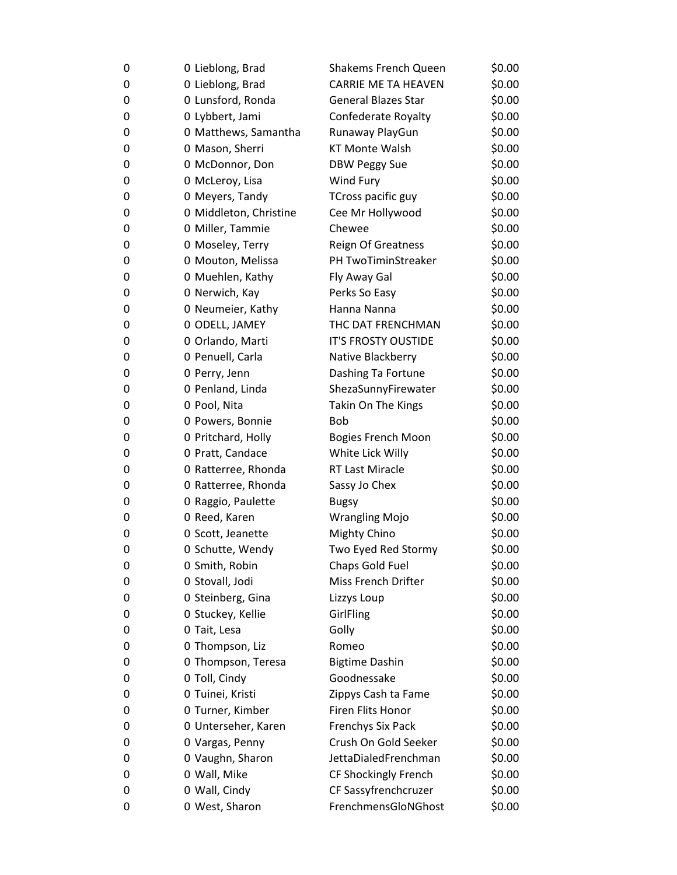| 0 | 0 Lieblong, Brad       | <b>Shakems French Queen</b> | \$0.00 |
|---|------------------------|-----------------------------|--------|
| 0 | 0 Lieblong, Brad       | <b>CARRIE ME TA HEAVEN</b>  | \$0.00 |
| 0 | 0 Lunsford, Ronda      | <b>General Blazes Star</b>  | \$0.00 |
| 0 | 0 Lybbert, Jami        | Confederate Royalty         | \$0.00 |
| 0 | 0 Matthews, Samantha   | Runaway PlayGun             | \$0.00 |
| 0 | 0 Mason, Sherri        | <b>KT Monte Walsh</b>       | \$0.00 |
| 0 | 0 McDonnor, Don        | DBW Peggy Sue               | \$0.00 |
| 0 | 0 McLeroy, Lisa        | Wind Fury                   | \$0.00 |
| 0 | 0 Meyers, Tandy        | TCross pacific guy          | \$0.00 |
| 0 | 0 Middleton, Christine | Cee Mr Hollywood            | \$0.00 |
| 0 | 0 Miller, Tammie       | Chewee                      | \$0.00 |
| 0 | 0 Moseley, Terry       | Reign Of Greatness          | \$0.00 |
| 0 | 0 Mouton, Melissa      | PH TwoTiminStreaker         | \$0.00 |
| 0 | 0 Muehlen, Kathy       | Fly Away Gal                | \$0.00 |
| 0 | 0 Nerwich, Kay         | Perks So Easy               | \$0.00 |
| 0 | 0 Neumeier, Kathy      | Hanna Nanna                 | \$0.00 |
| 0 | 0 ODELL, JAMEY         | THC DAT FRENCHMAN           | \$0.00 |
| 0 | 0 Orlando, Marti       | IT'S FROSTY OUSTIDE         | \$0.00 |
| 0 | 0 Penuell, Carla       | Native Blackberry           | \$0.00 |
| 0 | 0 Perry, Jenn          | Dashing Ta Fortune          | \$0.00 |
| 0 | 0 Penland, Linda       | ShezaSunnyFirewater         | \$0.00 |
| 0 | 0 Pool, Nita           | Takin On The Kings          | \$0.00 |
| 0 | 0 Powers, Bonnie       | <b>Bob</b>                  | \$0.00 |
| 0 | 0 Pritchard, Holly     | <b>Bogies French Moon</b>   | \$0.00 |
| 0 | 0 Pratt, Candace       | White Lick Willy            | \$0.00 |
| 0 | 0 Ratterree, Rhonda    | RT Last Miracle             | \$0.00 |
| 0 | 0 Ratterree, Rhonda    | Sassy Jo Chex               | \$0.00 |
| 0 | 0 Raggio, Paulette     | <b>Bugsy</b>                | \$0.00 |
| 0 | 0 Reed, Karen          | <b>Wrangling Mojo</b>       | \$0.00 |
| 0 | 0 Scott, Jeanette      | Mighty Chino                | \$0.00 |
| 0 | 0 Schutte, Wendy       | Two Eyed Red Stormy         | \$0.00 |
| 0 | 0 Smith, Robin         | Chaps Gold Fuel             | \$0.00 |
| 0 | 0 Stovall, Jodi        | <b>Miss French Drifter</b>  | \$0.00 |
| 0 | 0 Steinberg, Gina      | Lizzys Loup                 | \$0.00 |
| 0 | 0 Stuckey, Kellie      | GirlFling                   | \$0.00 |
| 0 | 0 Tait, Lesa           | Golly                       | \$0.00 |
| 0 | 0 Thompson, Liz        | Romeo                       | \$0.00 |
| 0 | 0 Thompson, Teresa     | <b>Bigtime Dashin</b>       | \$0.00 |
| 0 | 0 Toll, Cindy          | Goodnessake                 | \$0.00 |
| 0 | 0 Tuinei, Kristi       | Zippys Cash ta Fame         | \$0.00 |
| 0 | 0 Turner, Kimber       | Firen Flits Honor           | \$0.00 |
| 0 | 0 Unterseher, Karen    | <b>Frenchys Six Pack</b>    | \$0.00 |
| 0 | 0 Vargas, Penny        | Crush On Gold Seeker        | \$0.00 |
| 0 | 0 Vaughn, Sharon       | JettaDialedFrenchman        | \$0.00 |
| 0 | 0 Wall, Mike           | CF Shockingly French        | \$0.00 |
| 0 | 0 Wall, Cindy          | CF Sassyfrenchcruzer        | \$0.00 |
| 0 | 0 West, Sharon         | FrenchmensGloNGhost         | \$0.00 |